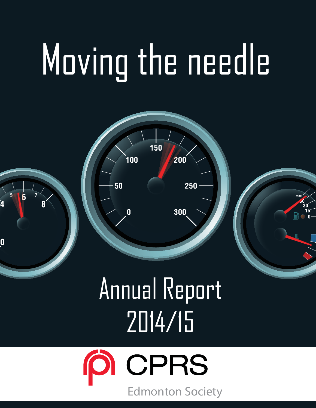# Moving the needle



## Annual Report 2014/15

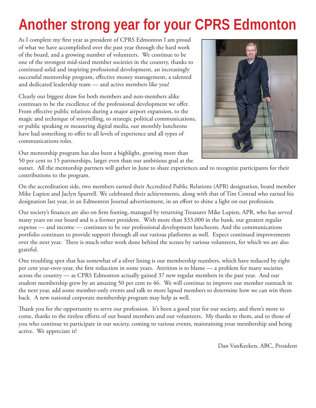## **Another strong year for your CPRS Edmonton**

As I complete my first year as president of CPRS Edmonton I am proud of what we have accomplished over the past year through the hard work of the board, and a growing number of volunteers. We continue to be one of the strongest mid-sized member societies in the country, thanks to continued solid and inspiring professional development, an increasingly successful mentorship program, effective money management, a talented and dedicated leadership team — and active members like you!

Clearly our biggest draw for both members and non-members alike continues to be the excellence of the professional development we offer. From effective public relations during a major airport expansion, to the magic and technique of storytelling, to strategic political communications, or public speaking or measuring digital media, our monthly luncheons have had something to offer to all levels of experience and all types of communications roles.

Our mentorship program has also been a highlight, growing more than 50 per cent to 15 partnerships, larger even than our ambitious goal at the



outset. All the mentorship partners will gather in June to share experiences and to recognize participants for their contributions to the program.

On the accreditation side, two members earned their Accredited Public Relations (APR) designation, board member Mike Lupien and Jaclyn Spurrell. We celebrated their achievements, along with that of Tim Conrad who earned his designation last year, in an Edmonton Journal advertisement, in an effort to shine a light on our profession.

Our society's finances are also on firm footing, managed by returning Treasurer Mike Lupien, APR, who has served many years on our board and is a former president. With more than \$33,000 in the bank, our greatest regular expense — and income — continues to be our professional development luncheons. And the communications portfolio continues to provide support through all our various platforms as well. Expect continued improvements over the next year. There is much other work done behind the scenes by various volunteers, for which we are also grateful.

One troubling spot that has somewhat of a silver lining is our membership numbers, which have reduced by eight per cent year-over-year, the first reduction in some years. Attrition is to blame — a problem for many societies across the country — as CPRS Edmonton actually gained 37 new regular members in the past year. And our student membership grew by an amazing 50 per cent to 46. We will continue to improve our member outreach in the next year, add some member-only events and talk to more lapsed members to determine how we can win them back. A new national corporate membership program may help as well.

Thank you for the opportunity to serve our profession. It's been a good year for our society, and there's more to come, thanks to the tireless efforts of our board members and our volunteers. My thanks to them, and to those of you who continue to participate in our society, coming to various events, maintaining your membership and being active. We appreciate it!

Dan VanKeeken, ABC, President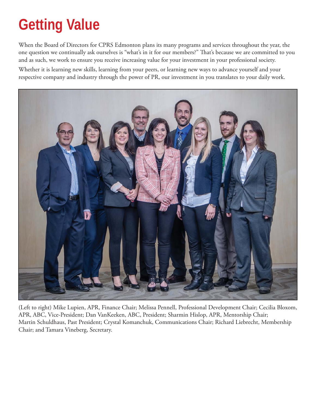## **Getting Value**

When the Board of Directors for CPRS Edmonton plans its many programs and services throughout the year, the one question we continually ask ourselves is "what's in it for our members?" That's because we are committed to you and as such, we work to ensure you receive increasing value for your investment in your professional society.

Whether it is learning new skills, learning from your peers, or learning new ways to advance yourself and your respective company and industry through the power of PR, our investment in you translates to your daily work.



(Left to right) Mike Lupien, APR, Finance Chair; Melissa Pennell, Professional Development Chair; Cecilia Bloxom, APR, ABC, Vice-President; Dan VanKeeken, ABC, President; Sharmin Hislop, APR, Mentorship Chair; Martin Schuldhaus, Past President; Crystal Komanchuk, Communications Chair; Richard Liebrecht, Membership Chair; and Tamara Vineberg, Secretary.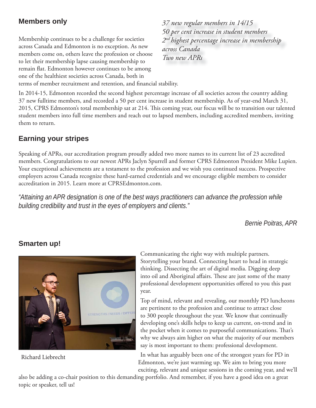#### **Members only**

Membership continues to be a challenge for societies across Canada and Edmonton is no exception. As new members come on, others leave the profession or choose to let their membership lapse causing membership to remain flat. Edmonton however continues to be among one of the healthiest societies across Canada, both in

*37 new regular members in 14/15 50 per cent increase in student members 2nd highest percentage increase in membership across Canada Two new APRs* 

terms of member recruitment and retention, and financial stability.

In 2014-15, Edmonton recorded the second highest percentage increase of all societies across the country adding 37 new fulltime members, and recorded a 50 per cent increase in student membership. As of year-end March 31, 2015, CPRS Edmonton's total membership sat at 214. This coming year, our focus will be to transition our talented student members into full time members and reach out to lapsed members, including accredited members, inviting them to return.

#### **Earning your stripes**

Speaking of APRs, our accreditation program proudly added two more names to its current list of 23 accredited members. Congratulations to our newest APRs Jaclyn Spurrell and former CPRS Edmonton President Mike Lupien. Your exceptional achievements are a testament to the profession and we wish you continued success. Prospective employers across Canada recognize these hard-earned credentials and we encourage eligible members to consider accreditation in 2015. Learn more at CPRSEdmonton.com.

*"Attaining an APR designation is one of the best ways practitioners can advance the profession while building credibility and trust in the eyes of employers and clients."*

*Bernie Poitras, APR*



Richard Liebrecht

Communicating the right way with multiple partners. Storytelling your brand. Connecting heart to head in strategic thinking. Dissecting the art of digital media. Digging deep into oil and Aboriginal affairs. These are just some of the many professional development opportunities offered to you this past year.

Top of mind, relevant and revealing, our monthly PD luncheons are pertinent to the profession and continue to attract close to 300 people throughout the year. We know that continually developing one's skills helps to keep us current, on-trend and in the pocket when it comes to purposeful communications. That's why we always aim higher on what the majority of our members say is most important to them: professional development.

In what has arguably been one of the strongest years for PD in Edmonton, we're just warming up. We aim to bring you more exciting, relevant and unique sessions in the coming year, and we'll

also be adding a co-chair position to this demanding portfolio. And remember, if you have a good idea on a great topic or speaker, tell us!

#### **Smarten up!**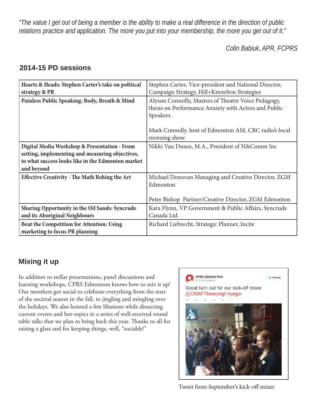*"The value I get out of being a member is the ability to make a real difference in the direction of public relations practice and application. The more you put into your membership, the more you get out of it."*

*Colin Babiuk, APR, FCPRS*

#### **2014-15 PD sessions**

| Hearts & Heads: Stephen Carter's take on political<br>strategy & PR                                                                                                | Stephen Carter, Vice-president and National Director,<br>Campaign Strategy, Hill+Knowlton Strategies                     |  |  |
|--------------------------------------------------------------------------------------------------------------------------------------------------------------------|--------------------------------------------------------------------------------------------------------------------------|--|--|
| Painless Public Speaking: Body, Breath & Mind                                                                                                                      | Alyson Connolly, Masters of Theatre Voice Pedagogy,<br>thesis on Performance Anxiety with Actors and Public<br>Speakers. |  |  |
|                                                                                                                                                                    | Mark Connolly, host of Edmonton AM, CBC radio's local<br>morning show.                                                   |  |  |
| Digital Media Workshop & Presentation - From<br>setting, implementing and measuring objectives,<br>to what success looks like in the Edmonton market<br>and beyond | Nikki Van Dusen, M.A., President of NikComm Inc                                                                          |  |  |
| <b>Effective Creativity - The Math Behing the Art</b>                                                                                                              | Michael Donovan Managing and Creative Director, ZGM<br>Edmonton<br>Peter Bishop Partner/Creative Director, ZGM Edmonton  |  |  |
| <b>Sharing Opportunity in the Oil Sands: Syncrude</b><br>and its Aboriginal Neighbours                                                                             | Kara Flynn, VP Government & Public Affairs, Syncrude<br>Canada Ltd.                                                      |  |  |
| Beat the Competition for Attention: Using<br>marketing to focus PR planning                                                                                        | Richard Liebrecht, Strategic Planner, Incite                                                                             |  |  |

#### **Mixing it up**

In addition to stellar presentations, panel discussions and learning workshops, CPRS Edmonton knows how to mix it up! Our members got social to celebrate everything from the start of the societal season in the fall, to jingling and mingling over the holidays. We also hoisted a few libations while dissecting current events and hot-topics in a series of well-received round table talks that we plan to bring back this year. Thanks to all for raising a glass and for keeping things, well, "sociable!"



Tweet from September's kick-off mixer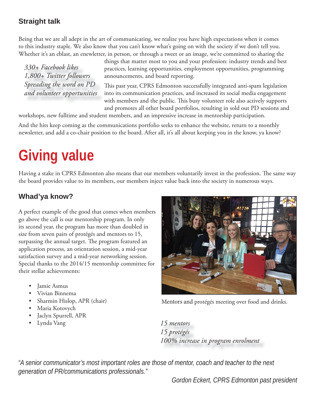#### **Straight talk**

Being that we are all adept in the art of communicating, we realize you have high expectations when it comes to this industry staple. We also know that you can't know what's going on with the society if we don't tell you. Whether it's an eblast, an enewletter, in person, or through a tweet or an image, we're committed to sharing the

*330+ Facebook likes 1,800+ Twitter followers Spreading the word on PD and volunteer opportunities* things that matter most to you and your profession: industry trends and best practices, learning opportunities, employment opportunities, programming announcements, and board reporting.

This past year, CPRS Edmonton successfully integrated anti-spam legislation into its communication practices, and increased its social media engagement with members and the public. This busy volunteer role also actively supports and promotes all other board portfolios, resulting in sold out PD sessions and

workshops, new fulltime and student members, and an impressive increase in mentorship participation.

And the hits keep coming as the communications portfolio seeks to enhance the website, return to a monthly newsletter, and add a co-chair position to the board. After all, it's all about keeping you in the know, ya know?

## **Giving value**

Having a stake in CPRS Edmonton also means that our members voluntarily invest in the profession. The same way the board provides value to its members, our members inject value back into the society in numerous ways.

#### **Whad'ya know?**

A perfect example of the good that comes when members go above the call is our mentorship program. In only its second year, the program has more than doubled in size from seven pairs of protégés and mentors to 15, surpassing the annual target. The program featured an application process, an orientation session, a mid-year satisfaction survey and a mid-year networking session. Special thanks to the 2014/15 mentorship committee for their stellar achievements:

- Jamie Asmus
- Vivian Binnema
- Sharmin Hislop, APR (chair)
- Maria Kotovych
- Jaclyn Spurrell, APR
- Lynda Vang *15 mentors*



Mentors and protégés meeting over food and drinks.

*15 protégés 100% increase in program enrolment* 

*"A senior communicator's most important roles are those of mentor, coach and teacher to the next generation of PR/communications professionals."*

*Gordon Eckert, CPRS Edmonton past president*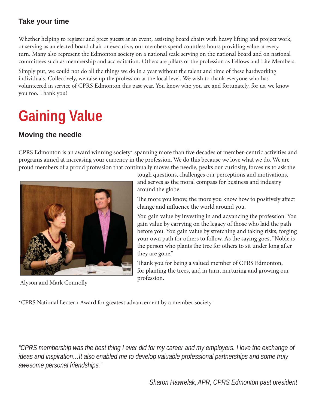#### **Take your time**

Whether helping to register and greet guests at an event, assisting board chairs with heavy lifting and project work, or serving as an elected board chair or executive, our members spend countless hours providing value at every turn. Many also represent the Edmonton society on a national scale serving on the national board and on national committees such as membership and accreditation. Others are pillars of the profession as Fellows and Life Members.

Simply put, we could not do all the things we do in a year without the talent and time of these hardworking individuals. Collectively, we raise up the profession at the local level. We wish to thank everyone who has volunteered in service of CPRS Edmonton this past year. You know who you are and fortunately, for us, we know you too. Thank you!

## **Gaining Value**

#### **Moving the needle**

CPRS Edmonton is an award winning society\* spanning more than five decades of member-centric activities and programs aimed at increasing your currency in the profession. We do this because we love what we do. We are proud members of a proud profession that continually moves the needle, peaks our curiosity, forces us to ask the



Alyson and Mark Connolly

tough questions, challenges our perceptions and motivations, and serves as the moral compass for business and industry around the globe.

The more you know, the more you know how to positively affect change and influence the world around you.

You gain value by investing in and advancing the profession. You gain value by carrying on the legacy of those who laid the path before you. You gain value by stretching and taking risks, forging your own path for others to follow. As the saying goes, "Noble is the person who plants the tree for others to sit under long after they are gone."

Thank you for being a valued member of CPRS Edmonton, for planting the trees, and in turn, nurturing and growing our profession.

\*CPRS National Lectern Award for greatest advancement by a member society

*"CPRS membership was the best thing I ever did for my career and my employers. I love the exchange of ideas and inspiration…It also enabled me to develop valuable professional partnerships and some truly awesome personal friendships."*

*Sharon Hawrelak, APR, CPRS Edmonton past president*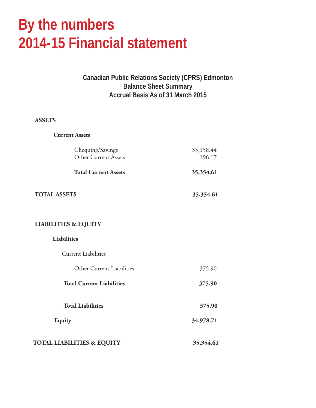## **By the numbers 2014-15 Financial statement**

#### **Canadian Public Relations Society (CPRS) Edmonton Balance Sheet Summary Accrual Basis As of 31 March 2015**

#### **ASSETS**

| <b>Current Assets</b>                    |                     |  |
|------------------------------------------|---------------------|--|
| Chequing/Savings<br>Other Current Assets | 35,158.44<br>196.17 |  |
| <b>Total Current Assets</b>              | 35,354.61           |  |
| <b>TOTAL ASSETS</b>                      | 35,354.61           |  |
| <b>LIABILITIES &amp; EQUITY</b>          |                     |  |
| Liabilities                              |                     |  |
| <b>Current Liabilities</b>               |                     |  |
| Other Current Liabilities                | 375.90              |  |
| <b>Total Current Liabilities</b>         | 375.90              |  |
| <b>Total Liabilities</b>                 | 375.90              |  |
| <b>Equity</b>                            | 34,978.71           |  |
| <b>TOTAL LIABILITIES &amp; EQUITY</b>    | 35,354.61           |  |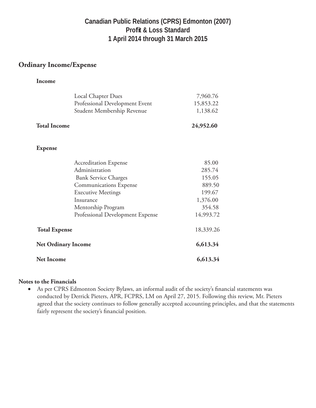#### **Canadian Public Relations (CPRS) Edmonton (2007) Profit & Loss Standard 1 April 2014 through 31 March 2015**

#### **Ordinary Income/Expense**

#### **Income**

|                                                    | Local Chapter Dues               | 7,960.76  |
|----------------------------------------------------|----------------------------------|-----------|
|                                                    | Professional Development Event   | 15,853.22 |
|                                                    | Student Membership Revenue       | 1,138.62  |
| <b>Total Income</b>                                |                                  | 24,952.60 |
| <b>Expense</b>                                     |                                  |           |
|                                                    | <b>Accreditation Expense</b>     | 85.00     |
|                                                    | Administration                   | 285.74    |
|                                                    | <b>Bank Service Charges</b>      | 155.05    |
|                                                    | <b>Communications Expense</b>    | 889.50    |
|                                                    | <b>Executive Meetings</b>        | 199.67    |
|                                                    | Insurance                        | 1,376.00  |
|                                                    | Mentorship Program               | 354.58    |
|                                                    | Professional Development Expense | 14,993.72 |
| <b>Total Expense</b><br><b>Net Ordinary Income</b> |                                  | 18,339.26 |
|                                                    |                                  | 6,613.34  |
| <b>Net Income</b>                                  |                                  | 6,613.34  |

#### **Notes to the Financials**

• As per CPRS Edmonton Society Bylaws, an informal audit of the society's financial statements was conducted by Derrick Pieters, APR, FCPRS, LM on April 27, 2015. Following this review, Mr. Pieters agreed that the society continues to follow generally accepted accounting principles, and that the statements fairly represent the society's financial position.